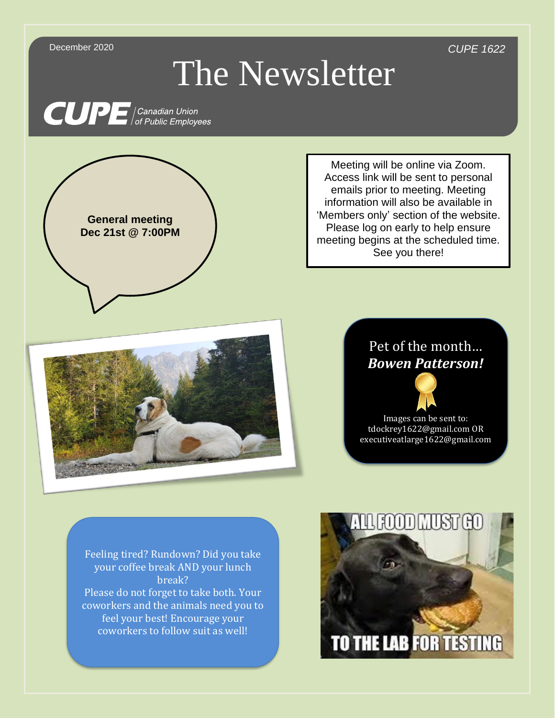December 2020 *CUPE 1622*

## The Newsletter

**CUPE** Canadian Union



Meeting will be online via Zoom. Access link will be sent to personal emails prior to meeting. Meeting information will also be available in 'Members only' section of the website. Please log on early to help ensure meeting begins at the scheduled time. See you there!



## Pet of the month… *Bowen Patterson!*



Images can be sent to: tdockrey1622@gmail.com OR executiveatlarge1622@gmail.com

Feeling tired? Rundown? Did you take your coffee break AND your lunch break? Please do not forget to take both. Your coworkers and the animals need you to feel your best! Encourage your coworkers to follow suit as well!